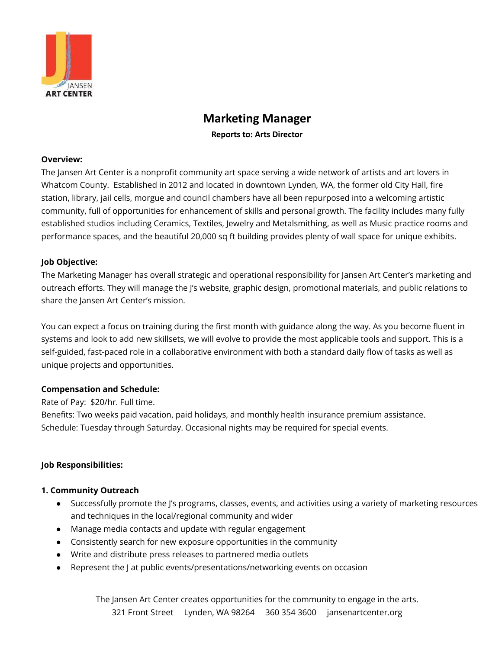

# **Marketing Manager**

**Reports to: Arts Director**

#### **Overview:**

The Jansen Art Center is a nonprofit community art space serving a wide network of artists and art lovers in Whatcom County. Established in 2012 and located in downtown Lynden, WA, the former old City Hall, fire station, library, jail cells, morgue and council chambers have all been repurposed into a welcoming artistic community, full of opportunities for enhancement of skills and personal growth. The facility includes many fully established studios including Ceramics, Textiles, Jewelry and Metalsmithing, as well as Music practice rooms and performance spaces, and the beautiful 20,000 sq ft building provides plenty of wall space for unique exhibits.

#### **Job Objective:**

The Marketing Manager has overall strategic and operational responsibility for Jansen Art Center's marketing and outreach efforts. They will manage the J's website, graphic design, promotional materials, and public relations to share the Jansen Art Center's mission.

You can expect a focus on training during the first month with guidance along the way. As you become fluent in systems and look to add new skillsets, we will evolve to provide the most applicable tools and support. This is a self-guided, fast-paced role in a collaborative environment with both a standard daily flow of tasks as well as unique projects and opportunities.

#### **Compensation and Schedule:**

Rate of Pay: \$20/hr. Full time.

Benefits: Two weeks paid vacation, paid holidays, and monthly health insurance premium assistance. Schedule: Tuesday through Saturday. Occasional nights may be required for special events.

# **Job Responsibilities:**

#### **1. Community Outreach**

- Successfully promote the J's programs, classes, events, and activities using a variety of marketing resources and techniques in the local/regional community and wider
- Manage media contacts and update with regular engagement
- Consistently search for new exposure opportunities in the community
- Write and distribute press releases to partnered media outlets
- Represent the J at public events/presentations/networking events on occasion

The Jansen Art Center creates opportunities for the community to engage in the arts. 321 Front Street Lynden, WA 98264 360 354 3600 jansenartcenter.org